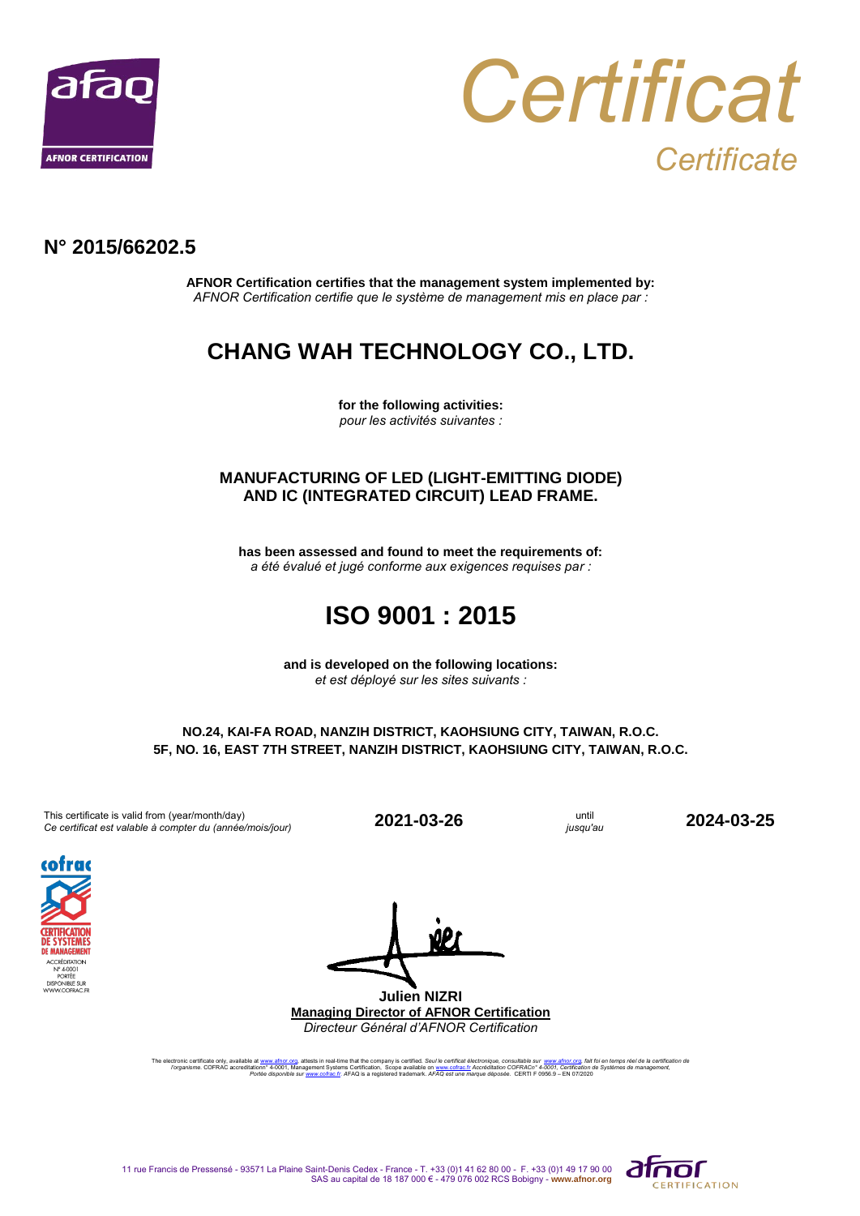



### **N° 2015/66202.5**

**AFNOR Certification certifies that the management system implemented by:** *AFNOR Certification certifie que le système de management mis en place par :*

# **CHANG WAH TECHNOLOGY CO., LTD.**

**for the following activities:** *pour les activités suivantes :*

#### **MANUFACTURING OF LED (LIGHT-EMITTING DIODE) AND IC (INTEGRATED CIRCUIT) LEAD FRAME.**

**has been assessed and found to meet the requirements of:** *a été évalué et jugé conforme aux exigences requises par :*

# **ISO 9001 : 2015**

**and is developed on the following locations:** *et est déployé sur les sites suivants :*

#### **NO.24, KAI-FA ROAD, NANZIH DISTRICT, KAOHSIUNG CITY, TAIWAN, R.O.C. 5F, NO. 16, EAST 7TH STREET, NANZIH DISTRICT, KAOHSIUNG CITY, TAIWAN, R.O.C.**

This certificate is valid from (year/month/day) This certificate is valid from (year/month/day)<br> *Ce certificat est valable à compter du (année/mois/jour)* **2021-03-26** until *jusqu'au* 

*jusqu'au* **2024-03-25**



**Julien NIZRI Managing Director of AFNOR Certification** *Directeur Général d'AFNOR Certification*

The electronic certificate only, available at <u>www.afnor.org</u>, attests in real-time that the company is certified. *Seul le certificat electronique, consultable sur* www.afnor.org, fait for en temps réel de la certificatio

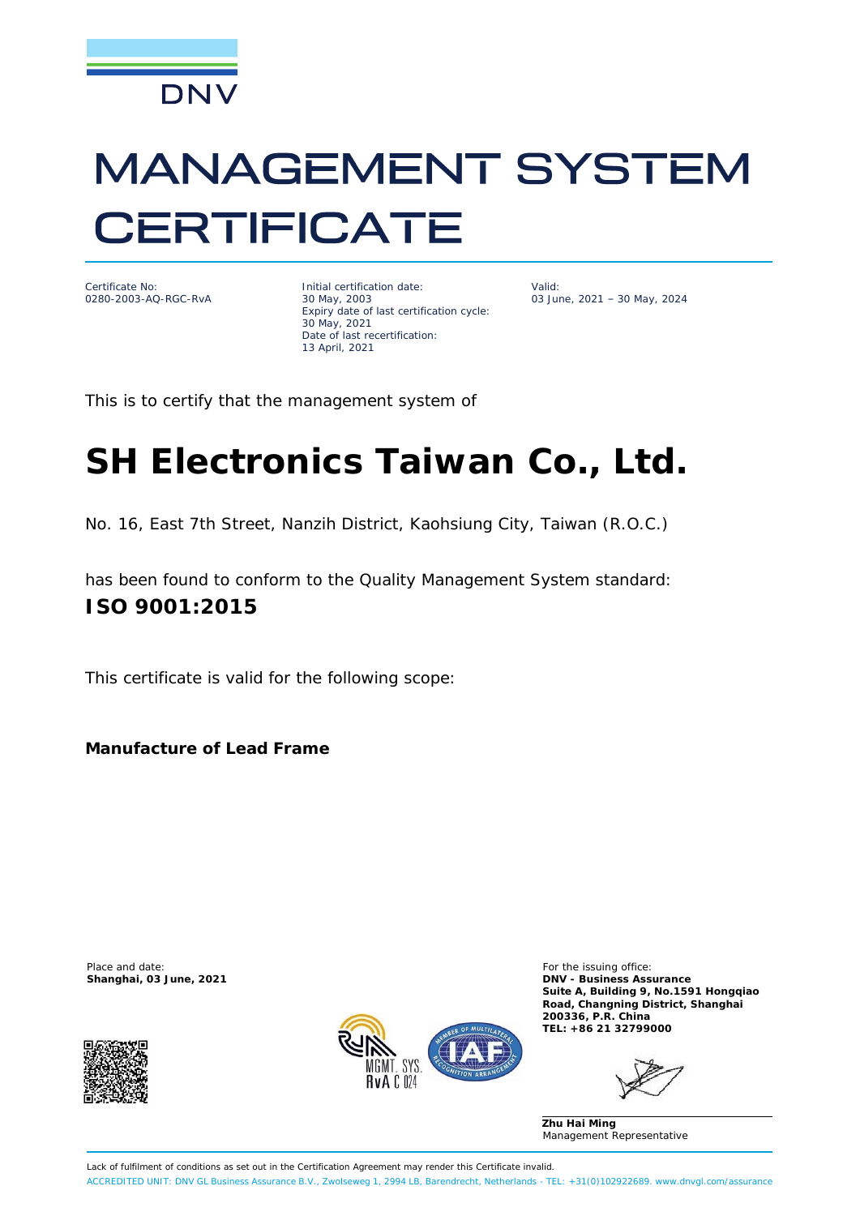

# **MANAGEMENT SYSTEM CERTIFICATE**



Initial certification date: 30 May, 2003 Expiry date of last certification cycle: 30 May, 2021 Date of last recertification: 13 April, 2021

Valid: 03 June, 2021 – 30 May, 2024

This is to certify that the management system of

# **SH Electronics Taiwan Co., Ltd.**

No. 16, East 7th Street, Nanzih District, Kaohsiung City, Taiwan (R.O.C.)

has been found to conform to the Quality Management System standard: **ISO 9001:2015**

This certificate is valid for the following scope:

**Manufacture of Lead Frame**

Place and date: **For the issuing office:** For the issuing office:





**Shanghai, 03 June, 2021 DNV - Business Assurance Suite A, Building 9, No.1591 Hongqiao Road, Changning District, Shanghai 200336, P.R. China TEL: +86 21 32799000**

**Zhu Hai Ming** Management Representative

Lack of fulfilment of conditions as set out in the Certification Agreement may render this Certificate invalid. ACCREDITED UNIT: DNV GL Business Assurance B.V., Zwolseweg 1, 2994 LB, Barendrecht, Netherlands - TEL: +31(0)102922689. www.dnvgl.com/assurance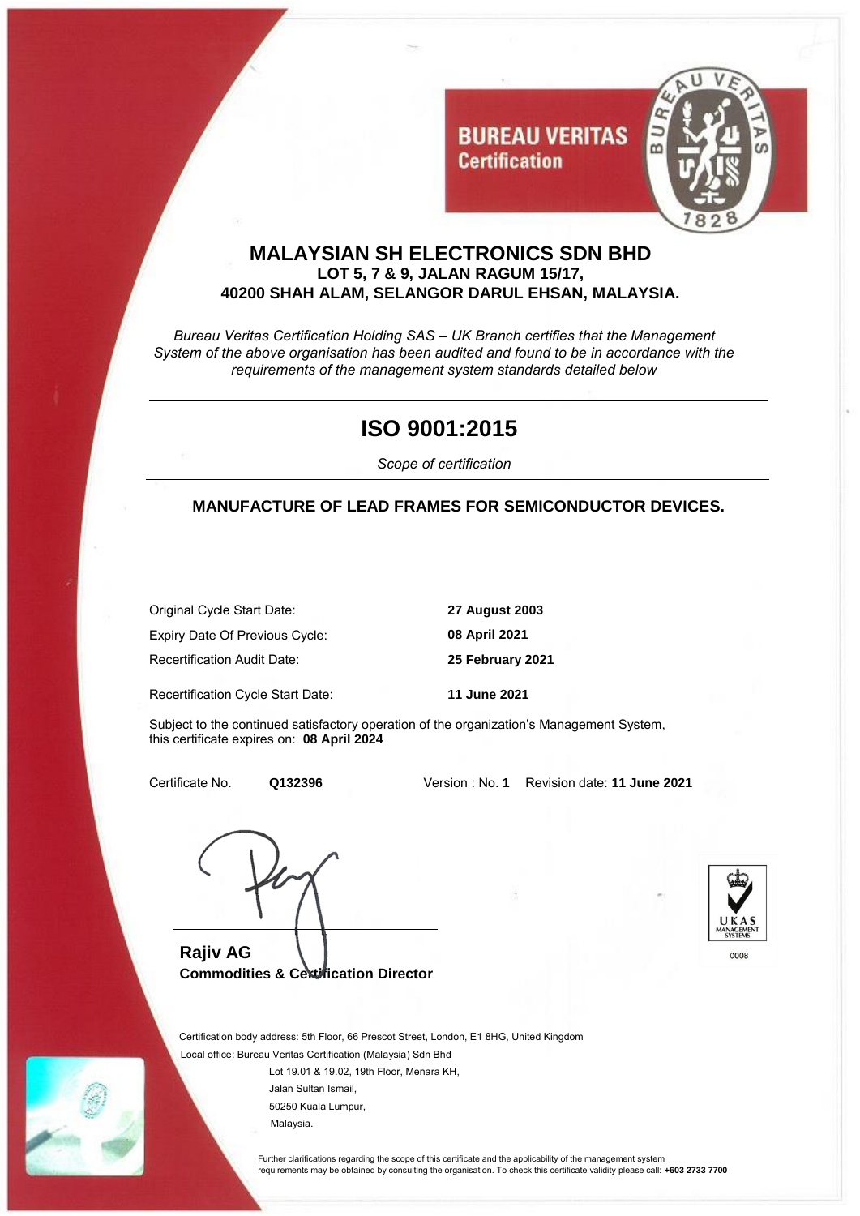

### **MALAYSIAN SH ELECTRONICS SDN BHD LOT 5, 7 & 9, JALAN RAGUM 15/17, 40200 SHAH ALAM, SELANGOR DARUL EHSAN, MALAYSIA.**

**Certification** 

*Bureau Veritas Certification Holding SAS – UK Branch certifies that the Management System of the above organisation has been audited and found to be in accordance with the requirements of the management system standards detailed below*

# **ISO 9001:2015**

*Scope of certification* 

### **MANUFACTURE OF LEAD FRAMES FOR SEMICONDUCTOR DEVICES.**

 Original Cycle Start Date: **27 August 2003** Expiry Date Of Previous Cycle: **08 April 2021** Recertification Audit Date: **25 February 2021**

Recertification Cycle Start Date: **11 June 2021**

 Subject to the continued satisfactory operation of the organization's Management System, this certificate expires on: **08 April 2024**

Certificate No. **Q132396** Version : No. **1** Revision date: **11 June 2021**

**Rajiv AG Commodities & Certification Director**



 Certification body address: 5th Floor, 66 Prescot Street, London, E1 8HG, United Kingdom Local office: Bureau Veritas Certification (Malaysia) Sdn Bhd

> Lot 19.01 & 19.02, 19th Floor, Menara KH, Jalan Sultan Ismail, 50250 Kuala Lumpur, Malaysia.

 Further clarifications regarding the scope of this certificate and the applicability of the management system requirements may be obtained by consulting the organisation. To check this certificate validity please call: **+603 2733 7700**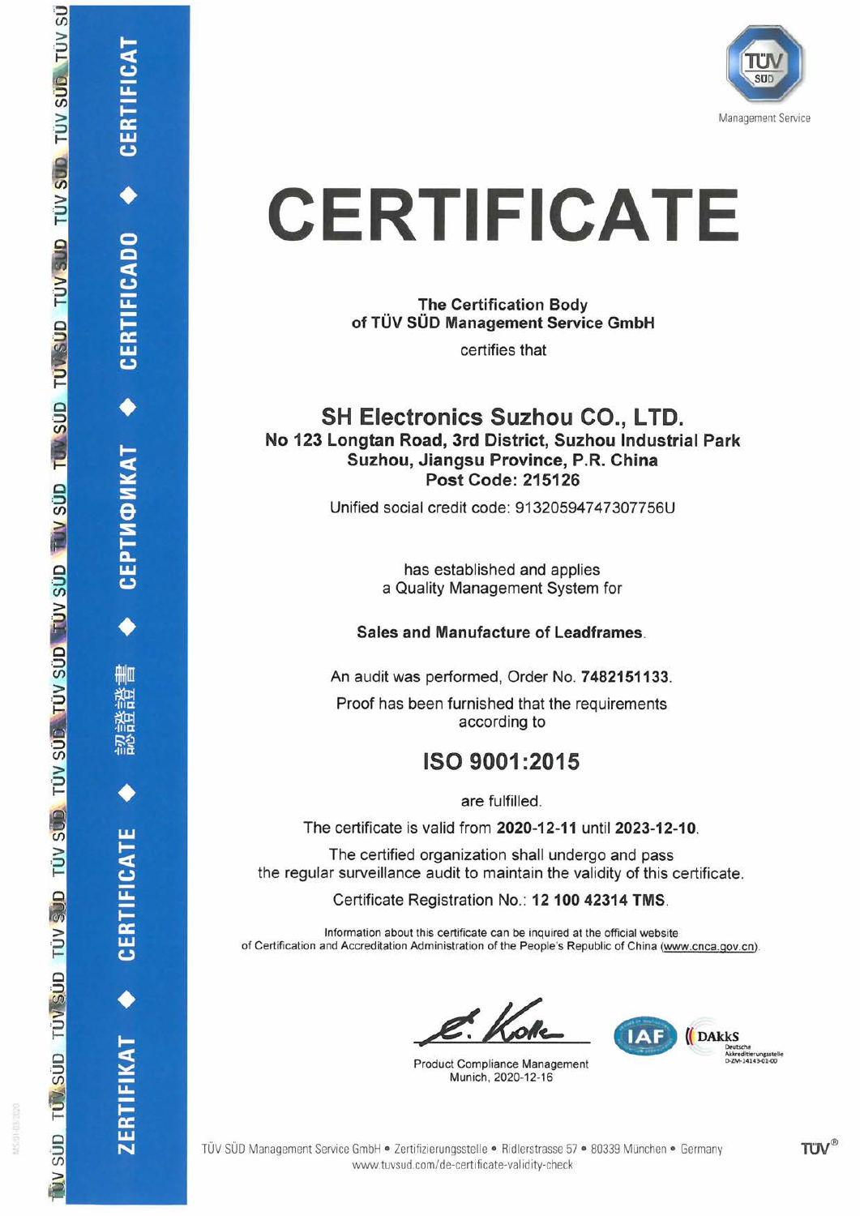

# **CERTIFICATE**

**The Certification Body** of TÜV SÜD Management Service GmbH

certifies that

### **SH Electronics Suzhou CO., LTD.** No 123 Longtan Road, 3rd District, Suzhou Industrial Park Suzhou, Jiangsu Province, P.R. China **Post Code: 215126**

Unified social credit code: 91320594747307756U

has established and applies a Quality Management System for

### Sales and Manufacture of Leadframes.

An audit was performed, Order No. 7482151133.

Proof has been furnished that the requirements according to

# ISO 9001:2015

are fulfilled.

The certificate is valid from 2020-12-11 until 2023-12-10.

The certified organization shall undergo and pass the regular surveillance audit to maintain the validity of this certificate.

Certificate Registration No.: 12 100 42314 TMS.

Information about this certificate can be inquired at the official website of Certification and Accreditation Administration of the People's Republic of China (www.cnca.gov.cn).

**Product Compliance Management** Munich, 2020-12-16



**CERTIFICADO** 

**СЕРТИФИКАТ** 

mЩ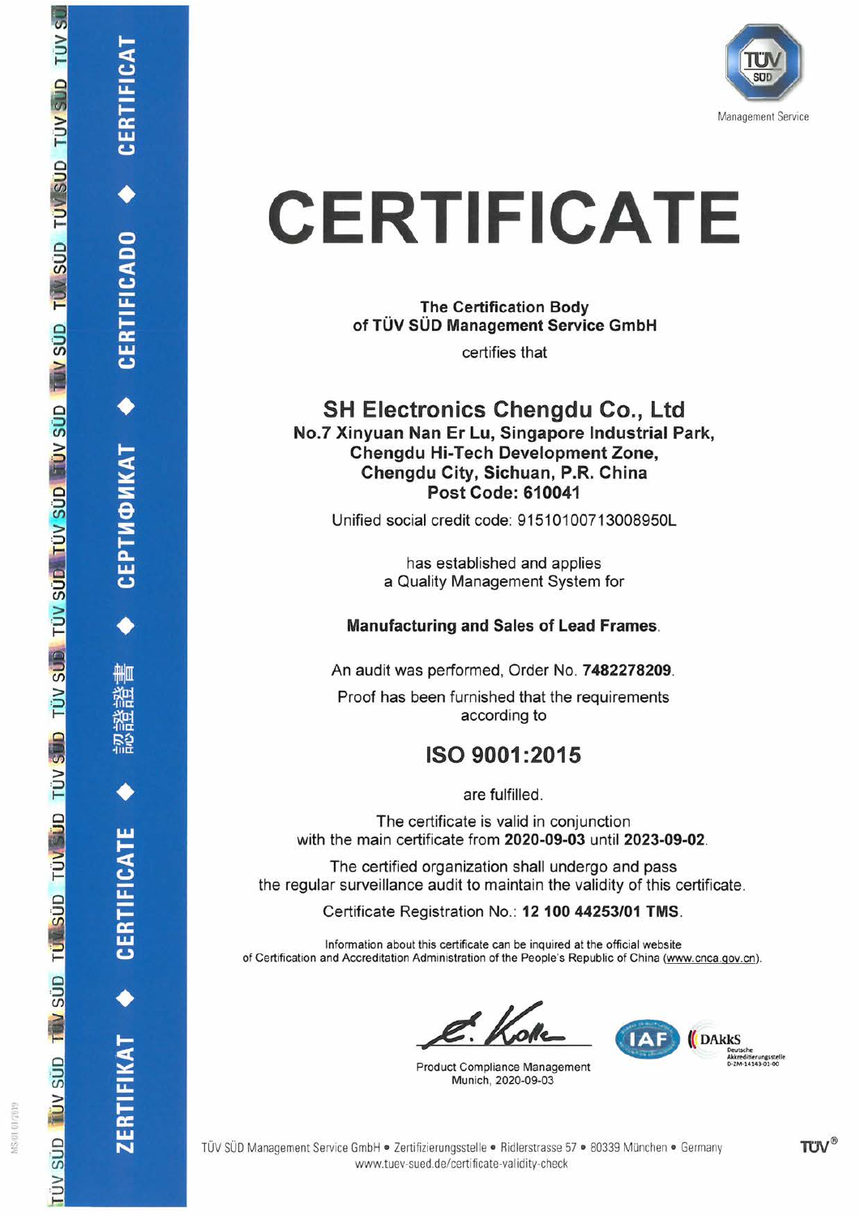

# **CERTIFICATE**

**The Certification Body** of TÜV SÜD Management Service GmbH

certifies that

### **SH Electronics Chengdu Co., Ltd** No.7 Xinyuan Nan Er Lu, Singapore Industrial Park, **Chenadu Hi-Tech Development Zone.** Chengdu City, Sichuan, P.R. China Post Code: 610041

Unified social credit code: 91510100713008950L

has established and applies a Quality Management System for

### **Manufacturing and Sales of Lead Frames.**

An audit was performed, Order No. 7482278209.

Proof has been furnished that the requirements according to

# ISO 9001:2015

are fulfilled.

The certificate is valid in conjunction with the main certificate from 2020-09-03 until 2023-09-02.

The certified organization shall undergo and pass the regular surveillance audit to maintain the validity of this certificate.

Certificate Registration No.: 12 100 44253/01 TMS.

Information about this certificate can be inquired at the official website of Certification and Accreditation Administration of the People's Republic of China (www.cnca.gov.cn).

**Product Compliance Management** Munich, 2020-09-03



**CERTIFICADO** 

**СЕРТИФИКАТ** 

舢